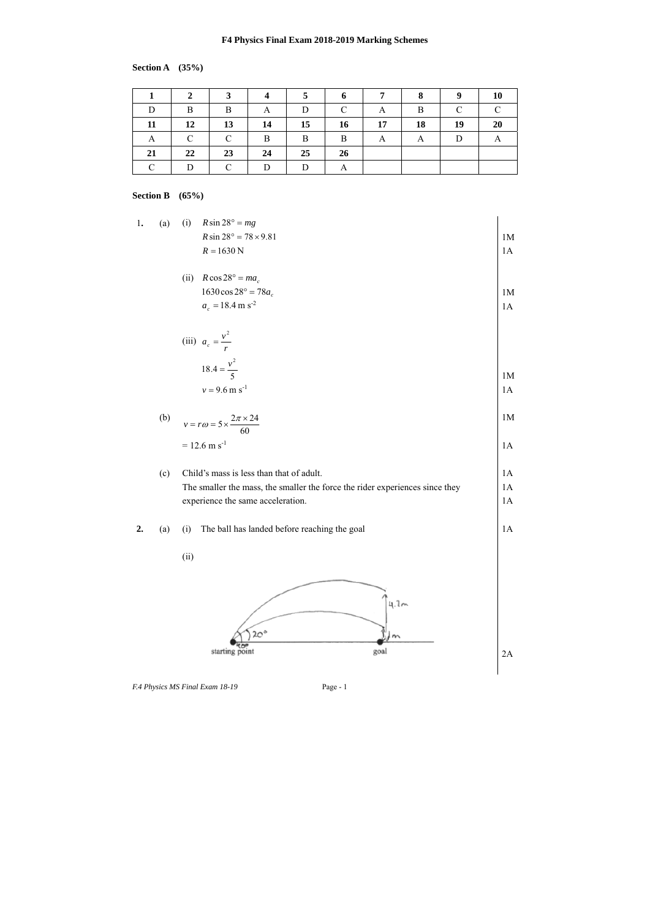## **F4 Physics Final Exam 2018-2019 Marking Schemes**

## **Section A (35%)**

|    |                    | 3      |    |    |        |    | $\bullet$ | q  | 10 |
|----|--------------------|--------|----|----|--------|----|-----------|----|----|
|    | B                  | B      | A  |    | $\cap$ | A  |           |    |    |
| 11 | 12                 | 13     | 14 | 15 | 16     | 17 | 18        | 19 | 20 |
|    | $\curvearrowright$ | $\sim$ | B  | B  | B      |    | A         |    |    |
| 21 | 22                 | 23     | 24 | 25 | 26     |    |           |    |    |
|    |                    |        |    |    |        |    |           |    |    |

## **Section B (65%)**

1. (a) (i) 
$$
R \sin 28^\circ = mg
$$
  
\n $R \sin 28^\circ = 78 \times 9.81$   
\n $R = 1630 \text{ N}$   
\n1.1 M  
\n1.1 A

(ii) 
$$
R\cos 28^\circ = ma_c
$$
  
\n $1630\cos 28^\circ = 78a_c$   
\n $a_c = 18.4 \text{ m s}^{-2}$   
\n1A

(iii) 
$$
a_c = \frac{v^2}{r}
$$
  
\n $18.4 = \frac{v^2}{5}$   
\n $v = 9.6 \text{ m s}^{-1}$   
\n1A

$$
v = r\omega = 5 \times \frac{2\pi \times 24}{60}
$$
 1M

$$
= 12.6 \text{ m s}^{-1}
$$
 1A

### (c) Child's mass is less than that of adult. The smaller the mass, the smaller the force the rider experiences since they experience the same acceleration. 1A 1A 1A

# **2.** (a) (i) The ball has landed before reaching the goal 1A

(ii)

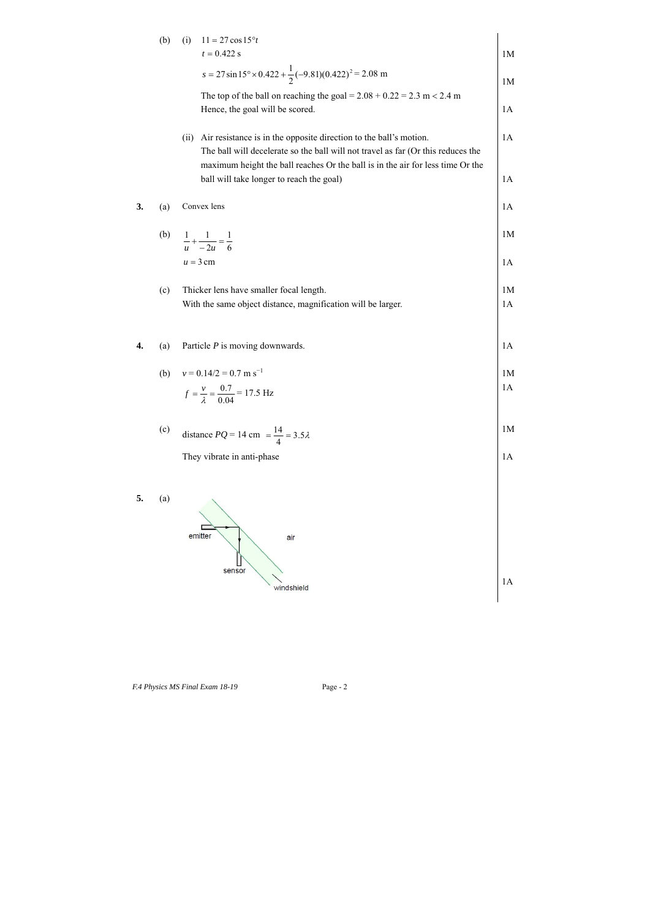|    | (b) | $11 = 27 \cos 15^\circ t$<br>(i)<br>$t = 0.422$ s                                                                                                                                                                                                                                           | 1 <sub>M</sub>       |
|----|-----|---------------------------------------------------------------------------------------------------------------------------------------------------------------------------------------------------------------------------------------------------------------------------------------------|----------------------|
|    |     | $s = 27 \sin 15^\circ \times 0.422 + \frac{1}{2}(-9.81)(0.422)^2 = 2.08 \text{ m}$                                                                                                                                                                                                          |                      |
|    |     | The top of the ball on reaching the goal = $2.08 + 0.22 = 2.3$ m < 2.4 m<br>Hence, the goal will be scored.                                                                                                                                                                                 | 1 <sub>M</sub><br>1A |
|    |     | Air resistance is in the opposite direction to the ball's motion.<br>(ii)<br>The ball will decelerate so the ball will not travel as far (Or this reduces the<br>maximum height the ball reaches Or the ball is in the air for less time Or the<br>ball will take longer to reach the goal) | 1A<br>1A             |
|    |     |                                                                                                                                                                                                                                                                                             |                      |
| 3. | (a) | Convex lens                                                                                                                                                                                                                                                                                 | 1A                   |
|    | (b) | $\frac{1}{u} + \frac{1}{-2u} = \frac{1}{6}$                                                                                                                                                                                                                                                 | 1 <sub>M</sub>       |
|    |     | $u = 3$ cm                                                                                                                                                                                                                                                                                  | 1A                   |
|    | (c) | Thicker lens have smaller focal length.<br>With the same object distance, magnification will be larger.                                                                                                                                                                                     | 1M<br>1A             |
| 4. | (a) | Particle $P$ is moving downwards.                                                                                                                                                                                                                                                           | 1A                   |
|    | (b) | $v = 0.14/2 = 0.7$ m s <sup>-1</sup>                                                                                                                                                                                                                                                        | 1 <sub>M</sub><br>1A |
|    |     | $f = \frac{v}{\lambda} = \frac{0.7}{0.04} = 17.5$ Hz                                                                                                                                                                                                                                        |                      |
|    | (c) | distance $PQ = 14$ cm = $\frac{14}{4} = 3.5\lambda$                                                                                                                                                                                                                                         | 1 <sub>M</sub>       |
|    |     | They vibrate in anti-phase                                                                                                                                                                                                                                                                  | 1A                   |
| 5. | (a) | emitter<br>air                                                                                                                                                                                                                                                                              |                      |
|    |     | sensor                                                                                                                                                                                                                                                                                      | 1A                   |
|    |     | windshield                                                                                                                                                                                                                                                                                  |                      |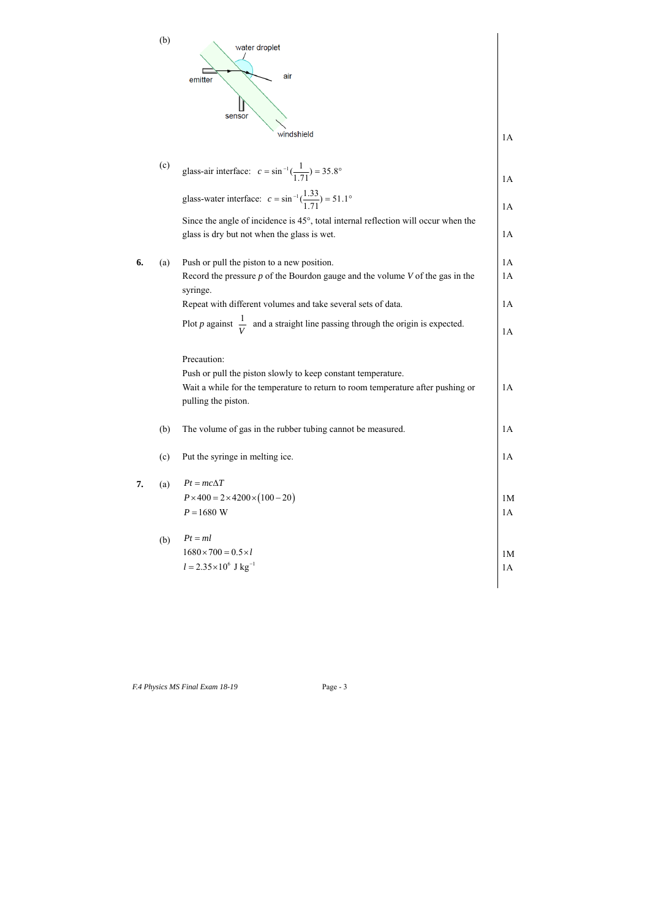|    | (b) | water droplet                                                                                          |                |
|----|-----|--------------------------------------------------------------------------------------------------------|----------------|
|    |     | air<br>emitter                                                                                         |                |
|    |     |                                                                                                        |                |
|    |     | sensor                                                                                                 |                |
|    |     | windshield                                                                                             | 1A             |
|    | (c) | glass-air interface: $c = \sin^{-1}(\frac{1}{1 \cdot 71}) = 35.8^{\circ}$                              |                |
|    |     |                                                                                                        | 1A             |
|    |     | glass-water interface: $c = \sin^{-1}(\frac{1.33}{1.71}) = 51.1^{\circ}$                               | 1A             |
|    |     | Since the angle of incidence is $45^{\circ}$ , total internal reflection will occur when the           |                |
|    |     | glass is dry but not when the glass is wet.                                                            | 1A             |
| 6. | (a) | Push or pull the piston to a new position.                                                             | 1A             |
|    |     | Record the pressure $p$ of the Bourdon gauge and the volume $V$ of the gas in the                      | 1A             |
|    |     | syringe.                                                                                               |                |
|    |     | Repeat with different volumes and take several sets of data.                                           | 1A             |
|    |     | Plot p against $\frac{1}{V}$ and a straight line passing through the origin is expected.               | 1A             |
|    |     | Precaution:                                                                                            |                |
|    |     | Push or pull the piston slowly to keep constant temperature.                                           |                |
|    |     | Wait a while for the temperature to return to room temperature after pushing or<br>pulling the piston. | 1A             |
|    | (b) | The volume of gas in the rubber tubing cannot be measured.                                             | 1A             |
|    | (c) | Put the syringe in melting ice.                                                                        | 1A             |
| 7. | (a) | $Pt = mc\Delta T$                                                                                      |                |
|    |     | $P \times 400 = 2 \times 4200 \times (100 - 20)$                                                       | 1 <sub>M</sub> |
|    |     | $P = 1680$ W                                                                                           | 1A             |
|    | (b) | $Pt = ml$                                                                                              |                |
|    |     | $1680 \times 700 = 0.5 \times l$                                                                       | 1M             |
|    |     | $l = 2.35 \times 10^6$ J kg <sup>-1</sup>                                                              | 1A             |
|    |     |                                                                                                        |                |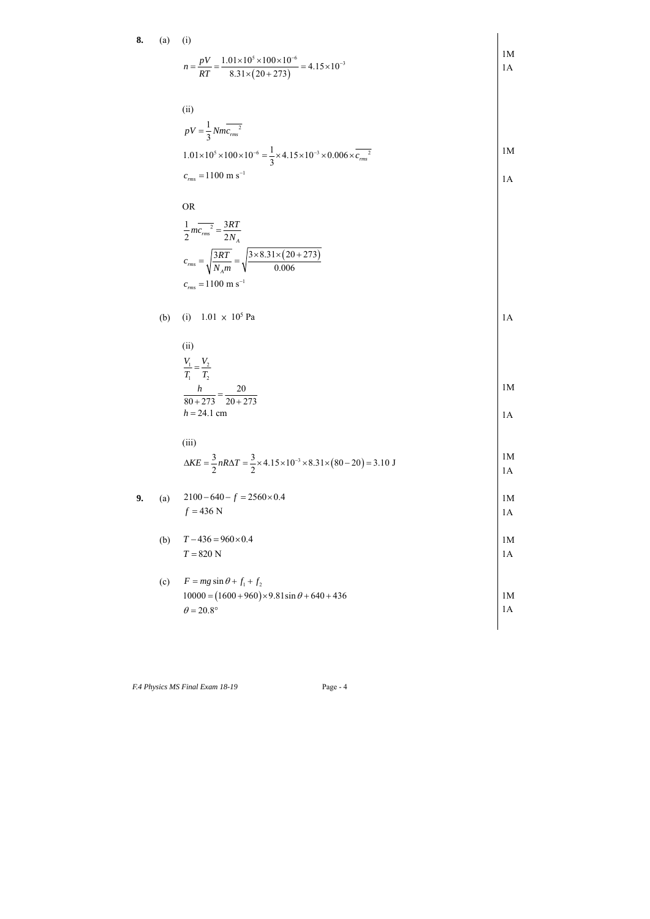**8.** (a) (i)

$$
n = \frac{pV}{RT} = \frac{1.01 \times 10^5 \times 100 \times 10^{-6}}{8.31 \times (20 + 273)} = 4.15 \times 10^{-3}
$$
 1M

(ii)  
\n
$$
pV = \frac{1}{3} N m c_{rms}^2
$$
\n
$$
1.01 \times 10^5 \times 100 \times 10^{-6} = \frac{1}{3} \times 4.15 \times 10^{-3} \times 0.006 \times \overline{c_{rms}^2}
$$
\n
$$
c_{rms} = 1100 \text{ m s}^{-1}
$$
\n1A

OR

$$
\frac{1}{2}m\overline{c_{rms}^2} = \frac{3RT}{2N_A}
$$

$$
c_{rms} = \sqrt{\frac{3RT}{N_A m}} = \sqrt{\frac{3 \times 8.31 \times (20 + 273)}{0.006}}
$$

$$
c_{rms} = 1100 \text{ m s}^{-1}
$$

(b) (i) 
$$
1.01 \times 10^5
$$
 Pa

(ii)  
\n
$$
\frac{V_1}{T_1} = \frac{V_2}{T_2}
$$
\n
$$
\frac{h}{80 + 273} = \frac{20}{20 + 273}
$$
\n
$$
h = 24.1 \text{ cm}
$$
\n1A

(iii)  
\n
$$
\Delta KE = \frac{3}{2} nR\Delta T = \frac{3}{2} \times 4.15 \times 10^{-3} \times 8.31 \times (80 - 20) = 3.10 \text{ J}
$$
\n
$$
1 \text{A}
$$

9. (a) 
$$
2100-640-f = 2560 \times 0.4
$$
  
\n $f = 436$  N

(b) 
$$
T-436 = 960 \times 0.4
$$
  
\n $T = 820$  N

(c) 
$$
F = mg \sin \theta + f_1 + f_2
$$
  
\n
$$
10000 = (1600 + 960) \times 9.81 \sin \theta + 640 + 436
$$
  
\n $\theta = 20.8^\circ$   
\n1M  
\n1A